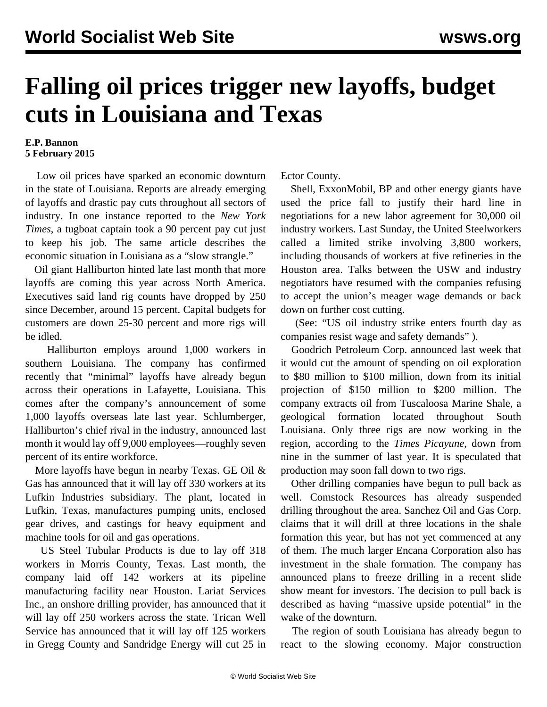## **Falling oil prices trigger new layoffs, budget cuts in Louisiana and Texas**

## **E.P. Bannon 5 February 2015**

 Low oil prices have sparked an economic downturn in the state of Louisiana. Reports are already emerging of layoffs and drastic pay cuts throughout all sectors of industry. In one instance reported to the *New York Times*, a tugboat captain took a 90 percent pay cut just to keep his job. The same article describes the economic situation in Louisiana as a "slow strangle."

 Oil giant Halliburton hinted late last month that more layoffs are coming this year across North America. Executives said land rig counts have dropped by 250 since December, around 15 percent. Capital budgets for customers are down 25-30 percent and more rigs will be idled.

 Halliburton employs around 1,000 workers in southern Louisiana. The company has confirmed recently that "minimal" layoffs have already begun across their operations in Lafayette, Louisiana. This comes after the company's announcement of some 1,000 layoffs overseas late last year. Schlumberger, Halliburton's chief rival in the industry, announced last month it would lay off 9,000 employees—roughly seven percent of its entire workforce.

 More layoffs have begun in nearby Texas. GE Oil & Gas has announced that it will lay off 330 workers at its Lufkin Industries subsidiary. The plant, located in Lufkin, Texas, manufactures pumping units, enclosed gear drives, and castings for heavy equipment and machine tools for oil and gas operations.

 US Steel Tubular Products is due to lay off 318 workers in Morris County, Texas. Last month, the company laid off 142 workers at its pipeline manufacturing facility near Houston. Lariat Services Inc., an onshore drilling provider, has announced that it will lay off 250 workers across the state. Trican Well Service has announced that it will lay off 125 workers in Gregg County and Sandridge Energy will cut 25 in

Ector County.

 Shell, ExxonMobil, BP and other energy giants have used the price fall to justify their hard line in negotiations for a new labor agreement for 30,000 oil industry workers. Last Sunday, the United Steelworkers called a limited strike involving 3,800 workers, including thousands of workers at five refineries in the Houston area. Talks between the USW and industry negotiators have resumed with the companies refusing to accept the union's meager wage demands or back down on further cost cutting.

 (See: "US oil industry strike enters fourth day as companies resist wage and safety demands" ).

 Goodrich Petroleum Corp. announced last week that it would cut the amount of spending on oil exploration to \$80 million to \$100 million, down from its initial projection of \$150 million to \$200 million. The company extracts oil from Tuscaloosa Marine Shale, a geological formation located throughout South Louisiana. Only three rigs are now working in the region, according to the *Times Picayune*, down from nine in the summer of last year. It is speculated that production may soon fall down to two rigs.

 Other drilling companies have begun to pull back as well. Comstock Resources has already suspended drilling throughout the area. Sanchez Oil and Gas Corp. claims that it will drill at three locations in the shale formation this year, but has not yet commenced at any of them. The much larger Encana Corporation also has investment in the shale formation. The company has announced plans to freeze drilling in a recent slide show meant for investors. The decision to pull back is described as having "massive upside potential" in the wake of the downturn.

 The region of south Louisiana has already begun to react to the slowing economy. Major construction